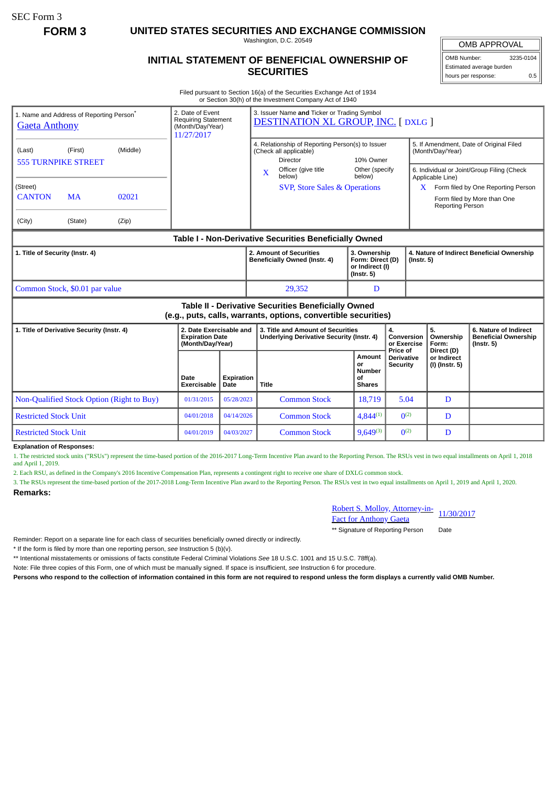SEC Form 3

**FORM 3 UNITED STATES SECURITIES AND EXCHANGE COMMISSION**

Washington, D.C. 20549

## **INITIAL STATEMENT OF BENEFICIAL OWNERSHIP OF SECURITIES**

OMB Number: 3235-0104

Estimated average burden hours per response: 0.5

Filed pursuant to Section 16(a) of the Securities Exchange Act of 1934 or Section 30(h) of the Investment Company Act of 1940

| 1. Name and Address of Reporting Person <sup>®</sup><br><b>Gaeta Anthony</b>  | 2. Date of Event<br><b>Requiring Statement</b><br>(Month/Day/Year)<br>11/27/2017 |                           | 3. Issuer Name and Ticker or Trading Symbol<br><b>DESTINATION XL GROUP, INC. [DXLG ]</b>                                  |                                                                         |                                           |                                                                                                           |                                                                          |  |
|-------------------------------------------------------------------------------|----------------------------------------------------------------------------------|---------------------------|---------------------------------------------------------------------------------------------------------------------------|-------------------------------------------------------------------------|-------------------------------------------|-----------------------------------------------------------------------------------------------------------|--------------------------------------------------------------------------|--|
| (Middle)<br>(Last)<br>(First)<br><b>555 TURNPIKE STREET</b>                   |                                                                                  |                           | 4. Relationship of Reporting Person(s) to Issuer<br>(Check all applicable)<br><b>Director</b><br>Officer (give title<br>X | 10% Owner<br>Other (specify                                             |                                           | 5. If Amendment, Date of Original Filed<br>(Month/Day/Year)<br>6. Individual or Joint/Group Filing (Check |                                                                          |  |
| (Street)<br><b>CANTON</b><br><b>MA</b><br>02021<br>(City)<br>(Zip)<br>(State) |                                                                                  |                           | below)<br><b>SVP, Store Sales &amp; Operations</b>                                                                        | below)                                                                  |                                           | Applicable Line)<br>X.<br>Reporting Person                                                                | Form filed by One Reporting Person<br>Form filed by More than One        |  |
|                                                                               |                                                                                  |                           | Table I - Non-Derivative Securities Beneficially Owned                                                                    |                                                                         |                                           |                                                                                                           |                                                                          |  |
| 1. Title of Security (Instr. 4)                                               |                                                                                  |                           | 2. Amount of Securities<br>Beneficially Owned (Instr. 4)                                                                  | 3. Ownership<br>Form: Direct (D)<br>or Indirect (I)<br>$($ lnstr. 5 $)$ |                                           | 4. Nature of Indirect Beneficial Ownership<br>$($ Instr. 5 $)$                                            |                                                                          |  |
| Common Stock, \$0.01 par value                                                |                                                                                  |                           | 29.352                                                                                                                    | D                                                                       |                                           |                                                                                                           |                                                                          |  |
|                                                                               |                                                                                  |                           | Table II - Derivative Securities Beneficially Owned<br>(e.g., puts, calls, warrants, options, convertible securities)     |                                                                         |                                           |                                                                                                           |                                                                          |  |
| 1. Title of Derivative Security (Instr. 4)                                    | 2. Date Exercisable and<br><b>Expiration Date</b><br>(Month/Day/Year)            |                           | 3. Title and Amount of Securities<br><b>Underlying Derivative Security (Instr. 4)</b>                                     |                                                                         | 4.<br>Conversion<br>or Exercise           | 5.<br>Ownership<br>Form:                                                                                  | 6. Nature of Indirect<br><b>Beneficial Ownership</b><br>$($ Instr. 5 $)$ |  |
|                                                                               | Date<br>Exercisable                                                              | <b>Expiration</b><br>Date | Title                                                                                                                     | Amount<br>or<br><b>Number</b><br>οf<br><b>Shares</b>                    | Price of<br>Derivative<br><b>Security</b> | Direct (D)<br>or Indirect<br>(I) (Instr. 5)                                                               |                                                                          |  |
| Non-Qualified Stock Option (Right to Buy)                                     | 01/31/2015                                                                       | 05/28/2023                | <b>Common Stock</b>                                                                                                       | 18,719                                                                  | 5.04                                      | D                                                                                                         |                                                                          |  |
| <b>Restricted Stock Unit</b>                                                  | 04/01/2018                                                                       | 04/14/2026                | <b>Common Stock</b>                                                                                                       | $4,844^{(1)}$                                                           | $\Omega^{(2)}$                            | D                                                                                                         |                                                                          |  |
| <b>Restricted Stock Unit</b>                                                  | 04/01/2019                                                                       | 04/03/2027                | <b>Common Stock</b>                                                                                                       | $9,649^{(3)}$                                                           | $\Omega^{(2)}$                            | D                                                                                                         |                                                                          |  |

1. The restricted stock units ("RSUs") represent the time-based portion of the 2016-2017 Long-Term Incentive Plan award to the Reporting Person. The RSUs vest in two equal installments on April 1, 2018 and April 1, 2019.

2. Each RSU, as defined in the Company's 2016 Incentive Compensation Plan, represents a contingent right to receive one share of DXLG common stock.

3. The RSUs represent the time-based portion of the 2017-2018 Long-Term Incentive Plan award to the Reporting Person. The RSUs vest in two equal installments on April 1, 2019 and April 1, 2020.

## **Remarks:**

Robert S. Molloy, Attorney-in-<br>Fact for Anthony Gaeta

\*\* Signature of Reporting Person Date

Reminder: Report on a separate line for each class of securities beneficially owned directly or indirectly.

\* If the form is filed by more than one reporting person, *see* Instruction 5 (b)(v).

\*\* Intentional misstatements or omissions of facts constitute Federal Criminal Violations *See* 18 U.S.C. 1001 and 15 U.S.C. 78ff(a).

Note: File three copies of this Form, one of which must be manually signed. If space is insufficient, *see* Instruction 6 for procedure.

**Persons who respond to the collection of information contained in this form are not required to respond unless the form displays a currently valid OMB Number.**

## OMB APPROVAL